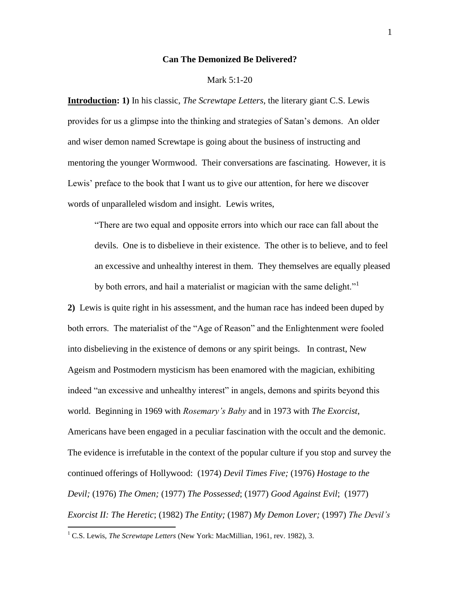## **Can The Demonized Be Delivered?**

#### Mark 5:1-20

**Introduction: 1)** In his classic, *The Screwtape Letters*, the literary giant C.S. Lewis provides for us a glimpse into the thinking and strategies of Satan's demons. An older and wiser demon named Screwtape is going about the business of instructing and mentoring the younger Wormwood. Their conversations are fascinating. However, it is Lewis' preface to the book that I want us to give our attention, for here we discover words of unparalleled wisdom and insight. Lewis writes,

"There are two equal and opposite errors into which our race can fall about the devils. One is to disbelieve in their existence. The other is to believe, and to feel an excessive and unhealthy interest in them. They themselves are equally pleased by both errors, and hail a materialist or magician with the same delight."

**2)** Lewis is quite right in his assessment, and the human race has indeed been duped by both errors. The materialist of the "Age of Reason" and the Enlightenment were fooled into disbelieving in the existence of demons or any spirit beings. In contrast, New Ageism and Postmodern mysticism has been enamored with the magician, exhibiting indeed "an excessive and unhealthy interest" in angels, demons and spirits beyond this world. Beginning in 1969 with *Rosemary's Baby* and in 1973 with *The Exorcist*, Americans have been engaged in a peculiar fascination with the occult and the demonic. The evidence is irrefutable in the context of the popular culture if you stop and survey the continued offerings of Hollywood: (1974) *Devil Times Five;* (1976) *Hostage to the Devil;* (1976) *The Omen;* (1977) *The Possessed*; (1977) *Good Against Evil*; (1977) *Exorcist II: The Heretic*; (1982) *The Entity;* (1987) *My Demon Lover;* (1997) *The Devil's* 

<sup>&</sup>lt;sup>1</sup> C.S. Lewis, *The Screwtape Letters* (New York: MacMillian, 1961, rev. 1982), 3.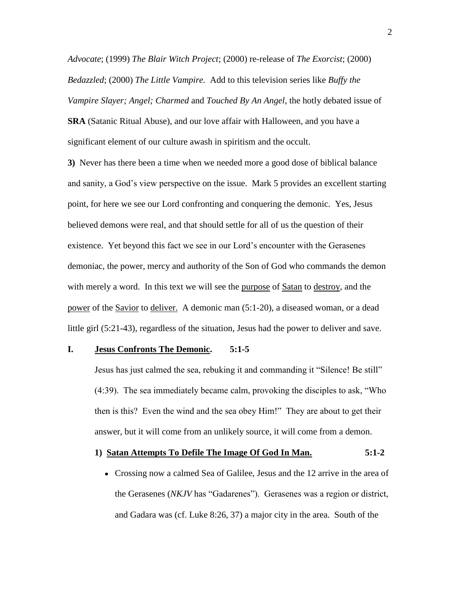*Advocate*; (1999) *The Blair Witch Project*; (2000) re-release of *The Exorcist*; (2000) *Bedazzled*; (2000) *The Little Vampire.* Add to this television series like *Buffy the Vampire Slayer; Angel; Charmed* and *Touched By An Angel*, the hotly debated issue of

**SRA** (Satanic Ritual Abuse), and our love affair with Halloween, and you have a significant element of our culture awash in spiritism and the occult.

**3)** Never has there been a time when we needed more a good dose of biblical balance and sanity, a God's view perspective on the issue. Mark 5 provides an excellent starting point, for here we see our Lord confronting and conquering the demonic. Yes, Jesus believed demons were real, and that should settle for all of us the question of their existence. Yet beyond this fact we see in our Lord's encounter with the Gerasenes demoniac, the power, mercy and authority of the Son of God who commands the demon with merely a word. In this text we will see the purpose of Satan to destroy, and the power of the Savior to deliver. A demonic man (5:1-20), a diseased woman, or a dead little girl (5:21-43), regardless of the situation, Jesus had the power to deliver and save.

## **I. Jesus Confronts The Demonic. 5:1-5**

Jesus has just calmed the sea, rebuking it and commanding it "Silence! Be still" (4:39). The sea immediately became calm, provoking the disciples to ask, "Who then is this? Even the wind and the sea obey Him!" They are about to get their answer, but it will come from an unlikely source, it will come from a demon.

### **1) Satan Attempts To Defile The Image Of God In Man. 5:1-2**

Crossing now a calmed Sea of Galilee, Jesus and the 12 arrive in the area of the Gerasenes (*NKJV* has "Gadarenes"). Gerasenes was a region or district, and Gadara was (cf. Luke 8:26, 37) a major city in the area. South of the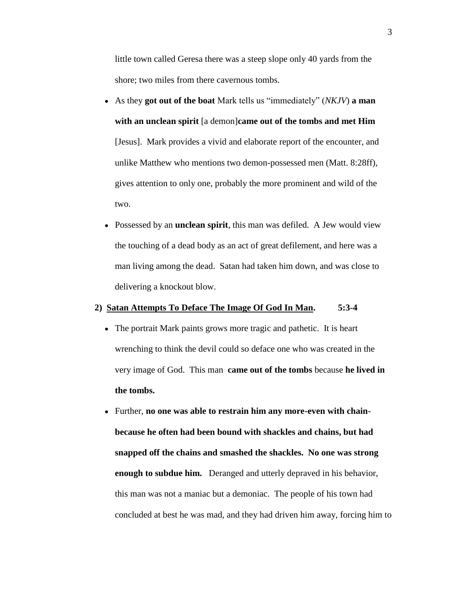little town called Geresa there was a steep slope only 40 yards from the shore; two miles from there cavernous tombs.

- As they **got out of the boat** Mark tells us "immediately" (*NKJV*) **a man with an unclean spirit** [a demon]**came out of the tombs and met Him**  [Jesus]. Mark provides a vivid and elaborate report of the encounter, and unlike Matthew who mentions two demon-possessed men (Matt. 8:28ff), gives attention to only one, probably the more prominent and wild of the two.
- Possessed by an **unclean spirit**, this man was defiled. A Jew would view the touching of a dead body as an act of great defilement, and here was a man living among the dead. Satan had taken him down, and was close to delivering a knockout blow.

## **2) Satan Attempts To Deface The Image Of God In Man. 5:3-4**

- The portrait Mark paints grows more tragic and pathetic. It is heart wrenching to think the devil could so deface one who was created in the very image of God. This man **came out of the tombs** because **he lived in the tombs.**
- Further, **no one was able to restrain him any more-even with chainbecause he often had been bound with shackles and chains, but had snapped off the chains and smashed the shackles. No one was strong enough to subdue him.** Deranged and utterly depraved in his behavior, this man was not a maniac but a demoniac. The people of his town had concluded at best he was mad, and they had driven him away, forcing him to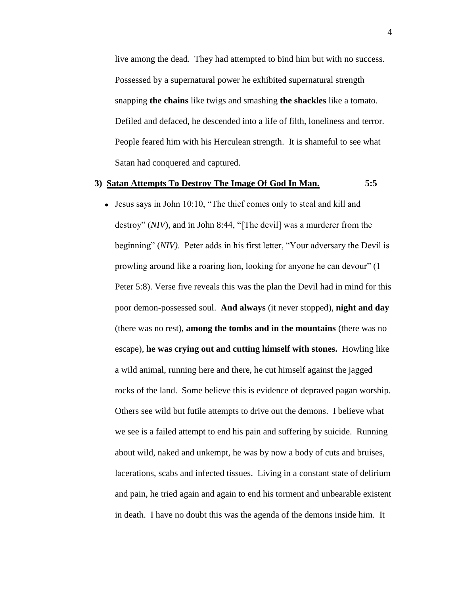live among the dead. They had attempted to bind him but with no success. Possessed by a supernatural power he exhibited supernatural strength snapping **the chains** like twigs and smashing **the shackles** like a tomato. Defiled and defaced, he descended into a life of filth, loneliness and terror. People feared him with his Herculean strength. It is shameful to see what Satan had conquered and captured.

# **3) Satan Attempts To Destroy The Image Of God In Man. 5:5**

Jesus says in John 10:10, "The thief comes only to steal and kill and destroy" (*NIV*), and in John 8:44, "[The devil] was a murderer from the beginning" (*NIV)*. Peter adds in his first letter, "Your adversary the Devil is prowling around like a roaring lion, looking for anyone he can devour" (1 Peter 5:8). Verse five reveals this was the plan the Devil had in mind for this poor demon-possessed soul. **And always** (it never stopped), **night and day** (there was no rest), **among the tombs and in the mountains** (there was no escape), **he was crying out and cutting himself with stones.** Howling like a wild animal, running here and there, he cut himself against the jagged rocks of the land. Some believe this is evidence of depraved pagan worship. Others see wild but futile attempts to drive out the demons. I believe what we see is a failed attempt to end his pain and suffering by suicide. Running about wild, naked and unkempt, he was by now a body of cuts and bruises, lacerations, scabs and infected tissues. Living in a constant state of delirium and pain, he tried again and again to end his torment and unbearable existent in death. I have no doubt this was the agenda of the demons inside him. It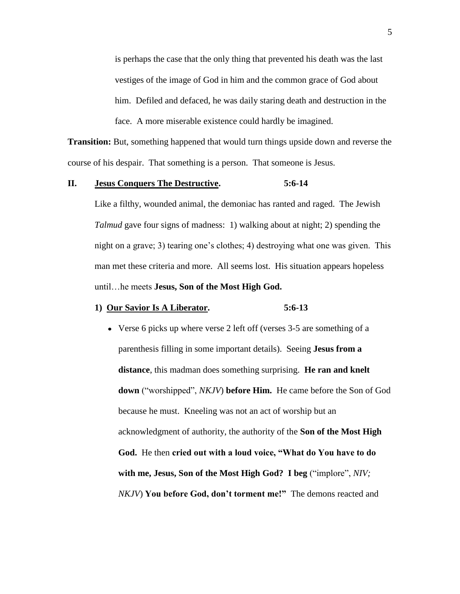is perhaps the case that the only thing that prevented his death was the last vestiges of the image of God in him and the common grace of God about him. Defiled and defaced, he was daily staring death and destruction in the face. A more miserable existence could hardly be imagined.

**Transition:** But, something happened that would turn things upside down and reverse the course of his despair. That something is a person. That someone is Jesus.

# **II. Jesus Conquers The Destructive. 5:6-14**

Like a filthy, wounded animal, the demoniac has ranted and raged. The Jewish *Talmud* gave four signs of madness: 1) walking about at night; 2) spending the night on a grave; 3) tearing one's clothes; 4) destroying what one was given. This man met these criteria and more. All seems lost. His situation appears hopeless until…he meets **Jesus, Son of the Most High God.**

# **1) Our Savior Is A Liberator. 5:6-13**

Verse 6 picks up where verse 2 left off (verses 3-5 are something of a parenthesis filling in some important details). Seeing **Jesus from a distance**, this madman does something surprising. **He ran and knelt down** ("worshipped", *NKJV*) **before Him.** He came before the Son of God because he must. Kneeling was not an act of worship but an acknowledgment of authority, the authority of the **Son of the Most High God.** He then **cried out with a loud voice, "What do You have to do with me, Jesus, Son of the Most High God? I beg** ("implore", *NIV; NKJV*) **You before God, don't torment me!"** The demons reacted and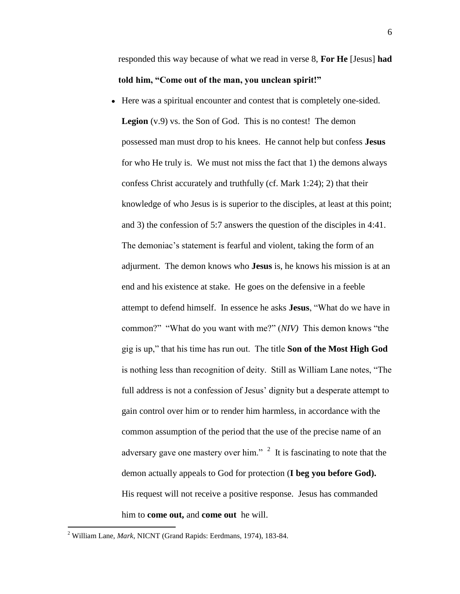responded this way because of what we read in verse 8, **For He** [Jesus] **had told him, "Come out of the man, you unclean spirit!"**

Here was a spiritual encounter and contest that is completely one-sided. **Legion** (v.9) vs. the Son of God. This is no contest! The demon possessed man must drop to his knees. He cannot help but confess **Jesus** for who He truly is. We must not miss the fact that 1) the demons always confess Christ accurately and truthfully (cf. Mark 1:24); 2) that their knowledge of who Jesus is is superior to the disciples, at least at this point; and 3) the confession of 5:7 answers the question of the disciples in 4:41. The demoniac's statement is fearful and violent, taking the form of an adjurment. The demon knows who **Jesus** is, he knows his mission is at an end and his existence at stake. He goes on the defensive in a feeble attempt to defend himself. In essence he asks **Jesus**, "What do we have in common?" "What do you want with me?" (*NIV)* This demon knows "the gig is up," that his time has run out. The title **Son of the Most High God** is nothing less than recognition of deity. Still as William Lane notes, "The full address is not a confession of Jesus' dignity but a desperate attempt to gain control over him or to render him harmless, in accordance with the common assumption of the period that the use of the precise name of an adversary gave one mastery over him."  $2$  It is fascinating to note that the demon actually appeals to God for protection (**I beg you before God).**  His request will not receive a positive response. Jesus has commanded him to **come out,** and **come out** he will.

<sup>2</sup> William Lane, *Mark*, NICNT (Grand Rapids: Eerdmans, 1974), 183-84.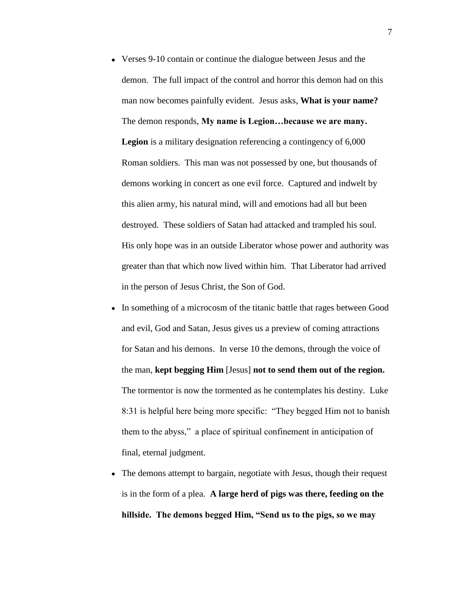- Verses 9-10 contain or continue the dialogue between Jesus and the demon. The full impact of the control and horror this demon had on this man now becomes painfully evident. Jesus asks, **What is your name?**  The demon responds, **My name is Legion…because we are many. Legion** is a military designation referencing a contingency of 6,000 Roman soldiers. This man was not possessed by one, but thousands of demons working in concert as one evil force. Captured and indwelt by this alien army, his natural mind, will and emotions had all but been destroyed. These soldiers of Satan had attacked and trampled his soul. His only hope was in an outside Liberator whose power and authority was greater than that which now lived within him. That Liberator had arrived in the person of Jesus Christ, the Son of God.
- In something of a microcosm of the titanic battle that rages between Good and evil, God and Satan, Jesus gives us a preview of coming attractions for Satan and his demons. In verse 10 the demons, through the voice of the man, **kept begging Him** [Jesus] **not to send them out of the region.**  The tormentor is now the tormented as he contemplates his destiny. Luke 8:31 is helpful here being more specific: "They begged Him not to banish them to the abyss," a place of spiritual confinement in anticipation of final, eternal judgment.
- The demons attempt to bargain, negotiate with Jesus, though their request is in the form of a plea. **A large herd of pigs was there, feeding on the hillside. The demons begged Him, "Send us to the pigs, so we may**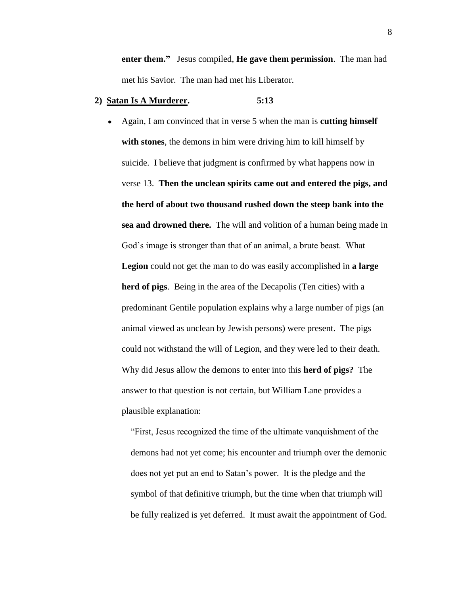**enter them."** Jesus compiled, **He gave them permission**. The man had met his Savior. The man had met his Liberator.

# **2) Satan Is A Murderer. 5:13**

Again, I am convinced that in verse 5 when the man is **cutting himself with stones**, the demons in him were driving him to kill himself by suicide. I believe that judgment is confirmed by what happens now in verse 13. **Then the unclean spirits came out and entered the pigs, and the herd of about two thousand rushed down the steep bank into the sea and drowned there.** The will and volition of a human being made in God's image is stronger than that of an animal, a brute beast. What **Legion** could not get the man to do was easily accomplished in **a large herd of pigs**. Being in the area of the Decapolis (Ten cities) with a predominant Gentile population explains why a large number of pigs (an animal viewed as unclean by Jewish persons) were present. The pigs could not withstand the will of Legion, and they were led to their death. Why did Jesus allow the demons to enter into this **herd of pigs?** The answer to that question is not certain, but William Lane provides a plausible explanation:

 "First, Jesus recognized the time of the ultimate vanquishment of the demons had not yet come; his encounter and triumph over the demonic does not yet put an end to Satan's power. It is the pledge and the symbol of that definitive triumph, but the time when that triumph will be fully realized is yet deferred. It must await the appointment of God.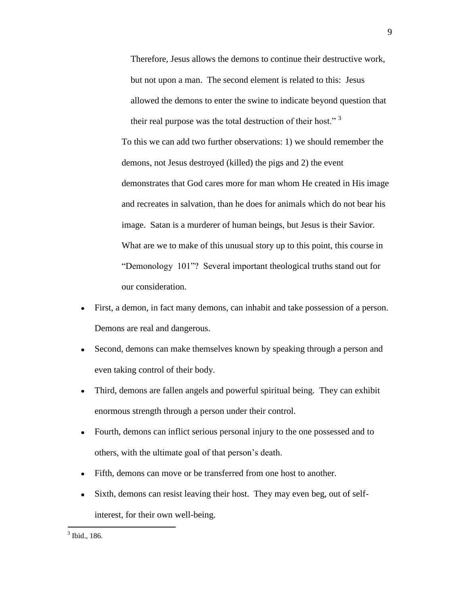Therefore, Jesus allows the demons to continue their destructive work, but not upon a man. The second element is related to this: Jesus allowed the demons to enter the swine to indicate beyond question that their real purpose was the total destruction of their host." <sup>3</sup> To this we can add two further observations: 1) we should remember the

demonstrates that God cares more for man whom He created in His image and recreates in salvation, than he does for animals which do not bear his image. Satan is a murderer of human beings, but Jesus is their Savior. What are we to make of this unusual story up to this point, this course in "Demonology 101"? Several important theological truths stand out for our consideration.

First, a demon, in fact many demons, can inhabit and take possession of a person.  $\bullet$ Demons are real and dangerous.

demons, not Jesus destroyed (killed) the pigs and 2) the event

- Second, demons can make themselves known by speaking through a person and  $\bullet$ even taking control of their body.
- Third, demons are fallen angels and powerful spiritual being. They can exhibit  $\bullet$ enormous strength through a person under their control.
- $\bullet$ Fourth, demons can inflict serious personal injury to the one possessed and to others, with the ultimate goal of that person's death.
- $\bullet$ Fifth, demons can move or be transferred from one host to another.
- Sixth, demons can resist leaving their host. They may even beg, out of selfinterest, for their own well-being.

<sup>9</sup>

 $3$  Ibid., 186.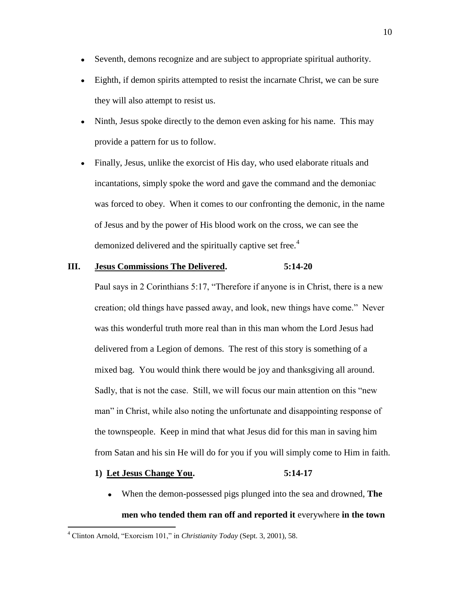- Seventh, demons recognize and are subject to appropriate spiritual authority.  $\bullet$
- Eighth, if demon spirits attempted to resist the incarnate Christ, we can be sure  $\bullet$ they will also attempt to resist us.
- Ninth, Jesus spoke directly to the demon even asking for his name. This may  $\bullet$ provide a pattern for us to follow.
- Finally, Jesus, unlike the exorcist of His day, who used elaborate rituals and  $\bullet$ incantations, simply spoke the word and gave the command and the demoniac was forced to obey. When it comes to our confronting the demonic, in the name of Jesus and by the power of His blood work on the cross, we can see the demonized delivered and the spiritually captive set free.<sup>4</sup>

#### **III. Jesus Commissions The Delivered. 5:14-20**

Paul says in 2 Corinthians 5:17, "Therefore if anyone is in Christ, there is a new creation; old things have passed away, and look, new things have come." Never was this wonderful truth more real than in this man whom the Lord Jesus had delivered from a Legion of demons. The rest of this story is something of a mixed bag. You would think there would be joy and thanksgiving all around. Sadly, that is not the case. Still, we will focus our main attention on this "new man" in Christ, while also noting the unfortunate and disappointing response of the townspeople. Keep in mind that what Jesus did for this man in saving him from Satan and his sin He will do for you if you will simply come to Him in faith.

# **1) Let Jesus Change You. 5:14-17**

 $\overline{a}$ 

When the demon-possessed pigs plunged into the sea and drowned, **The men who tended them ran off and reported it** everywhere **in the town** 

<sup>4</sup> Clinton Arnold, "Exorcism 101," in *Christianity Today* (Sept. 3, 2001), 58.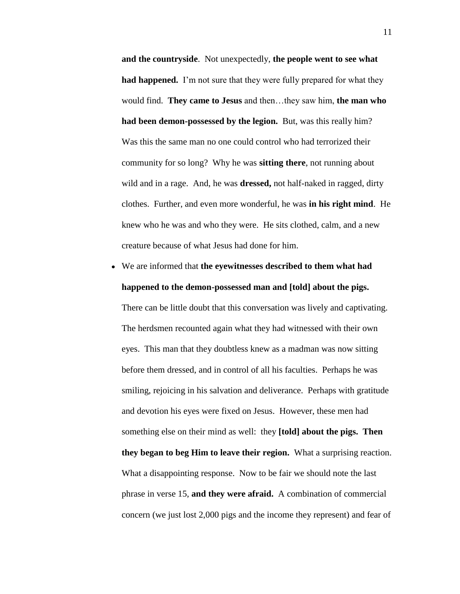**and the countryside**. Not unexpectedly, **the people went to see what had happened.** I'm not sure that they were fully prepared for what they would find. **They came to Jesus** and then…they saw him, **the man who had been demon-possessed by the legion.** But, was this really him? Was this the same man no one could control who had terrorized their community for so long? Why he was **sitting there**, not running about wild and in a rage. And, he was **dressed,** not half-naked in ragged, dirty clothes. Further, and even more wonderful, he was **in his right mind**. He knew who he was and who they were. He sits clothed, calm, and a new creature because of what Jesus had done for him.

We are informed that **the eyewitnesses described to them what had happened to the demon-possessed man and [told] about the pigs.**

There can be little doubt that this conversation was lively and captivating. The herdsmen recounted again what they had witnessed with their own eyes. This man that they doubtless knew as a madman was now sitting before them dressed, and in control of all his faculties. Perhaps he was smiling, rejoicing in his salvation and deliverance. Perhaps with gratitude and devotion his eyes were fixed on Jesus. However, these men had something else on their mind as well: they **[told] about the pigs. Then they began to beg Him to leave their region.** What a surprising reaction. What a disappointing response. Now to be fair we should note the last phrase in verse 15, **and they were afraid.** A combination of commercial concern (we just lost 2,000 pigs and the income they represent) and fear of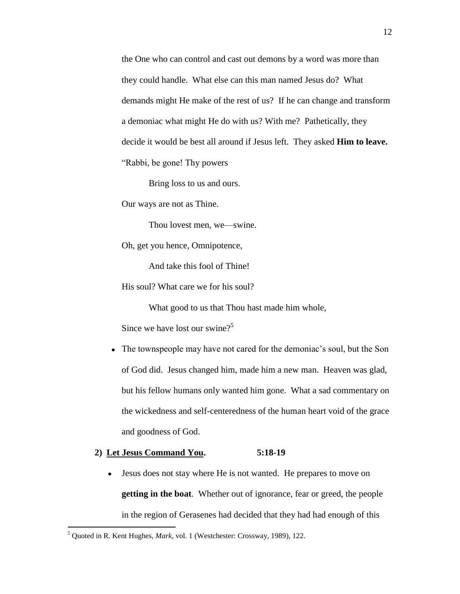the One who can control and cast out demons by a word was more than they could handle. What else can this man named Jesus do? What demands might He make of the rest of us? If he can change and transform a demoniac what might He do with us? With me? Pathetically, they decide it would be best all around if Jesus left. They asked **Him to leave.** "Rabbi, be gone! Thy powers

Bring loss to us and ours.

Our ways are not as Thine.

Thou lovest men, we—swine.

Oh, get you hence, Omnipotence,

And take this fool of Thine!

His soul? What care we for his soul?

What good to us that Thou hast made him whole,

Since we have lost our swine? $5^5$ 

The townspeople may have not cared for the demoniac's soul, but the Son of God did. Jesus changed him, made him a new man. Heaven was glad, but his fellow humans only wanted him gone. What a sad commentary on the wickedness and self-centeredness of the human heart void of the grace and goodness of God.

### **2) Let Jesus Command You. 5:18-19**

 $\bullet$ Jesus does not stay where He is not wanted. He prepares to move on **getting in the boat**. Whether out of ignorance, fear or greed, the people in the region of Gerasenes had decided that they had had enough of this

<sup>5</sup> Quoted in R. Kent Hughes, *Mark*, vol. 1 (Westchester: Crossway, 1989), 122.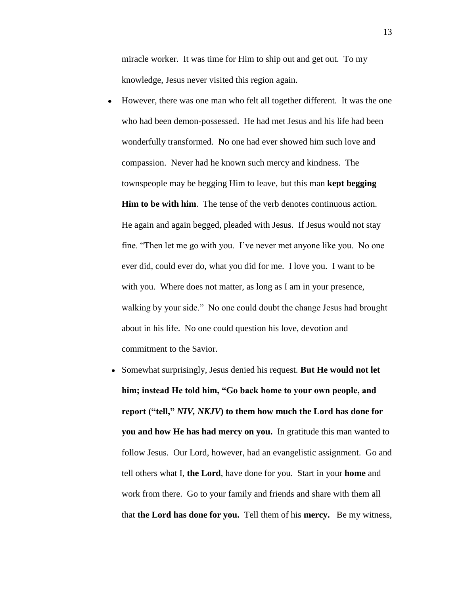miracle worker. It was time for Him to ship out and get out. To my knowledge, Jesus never visited this region again.

- However, there was one man who felt all together different. It was the one  $\bullet$ who had been demon-possessed. He had met Jesus and his life had been wonderfully transformed. No one had ever showed him such love and compassion. Never had he known such mercy and kindness. The townspeople may be begging Him to leave, but this man **kept begging Him to be with him**. The tense of the verb denotes continuous action. He again and again begged, pleaded with Jesus. If Jesus would not stay fine. "Then let me go with you. I've never met anyone like you. No one ever did, could ever do, what you did for me. I love you. I want to be with you. Where does not matter, as long as I am in your presence, walking by your side." No one could doubt the change Jesus had brought about in his life. No one could question his love, devotion and commitment to the Savior.
- Somewhat surprisingly, Jesus denied his request. **But He would not let him; instead He told him, "Go back home to your own people, and report ("tell,"** *NIV, NKJV***) to them how much the Lord has done for you and how He has had mercy on you.** In gratitude this man wanted to follow Jesus. Our Lord, however, had an evangelistic assignment. Go and tell others what I, **the Lord**, have done for you. Start in your **home** and work from there. Go to your family and friends and share with them all that **the Lord has done for you.** Tell them of his **mercy.** Be my witness,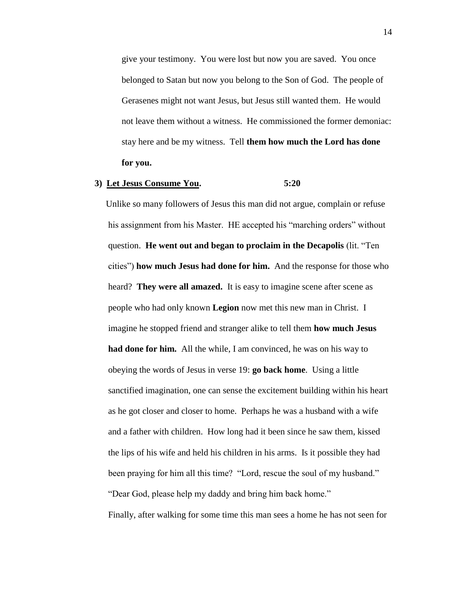give your testimony. You were lost but now you are saved. You once belonged to Satan but now you belong to the Son of God. The people of Gerasenes might not want Jesus, but Jesus still wanted them. He would not leave them without a witness. He commissioned the former demoniac: stay here and be my witness. Tell **them how much the Lord has done for you.**

#### **3) Let Jesus Consume You. 5:20**

 Unlike so many followers of Jesus this man did not argue, complain or refuse his assignment from his Master. HE accepted his "marching orders" without question. **He went out and began to proclaim in the Decapolis** (lit. "Ten cities") **how much Jesus had done for him.** And the response for those who heard? **They were all amazed.** It is easy to imagine scene after scene as people who had only known **Legion** now met this new man in Christ. I imagine he stopped friend and stranger alike to tell them **how much Jesus had done for him.** All the while, I am convinced, he was on his way to obeying the words of Jesus in verse 19: **go back home**. Using a little sanctified imagination, one can sense the excitement building within his heart as he got closer and closer to home. Perhaps he was a husband with a wife and a father with children. How long had it been since he saw them, kissed the lips of his wife and held his children in his arms. Is it possible they had been praying for him all this time? "Lord, rescue the soul of my husband." "Dear God, please help my daddy and bring him back home."

Finally, after walking for some time this man sees a home he has not seen for